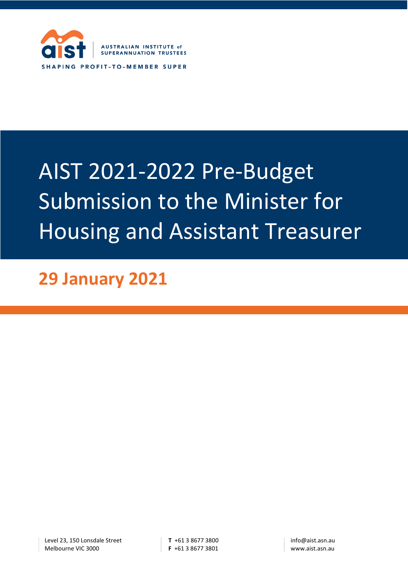

# AIST 2021-2022 Pre-Budget Submission to the Minister for Housing and Assistant Treasurer

**29 January 2021**

Level 23, 150 Lonsdale Street Melbourne VIC 3000

**T** +61 3 8677 3800 **F** +61 3 8677 3801 info@aist.asn.au www.aist.asn.au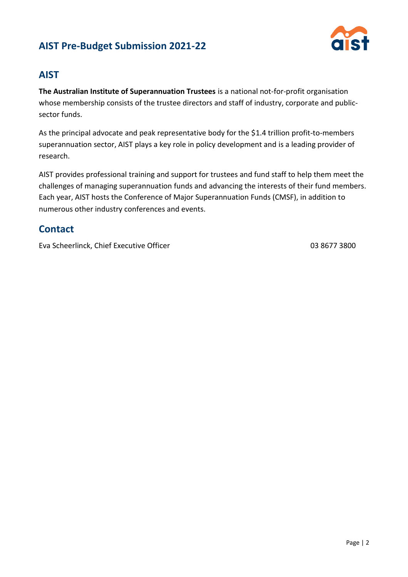

### **AIST**

**The Australian Institute of Superannuation Trustees** is a national not-for-profit organisation whose membership consists of the trustee directors and staff of industry, corporate and publicsector funds.

As the principal advocate and peak representative body for the \$1.4 trillion profit-to-members superannuation sector, AIST plays a key role in policy development and is a leading provider of research.

AIST provides professional training and support for trustees and fund staff to help them meet the challenges of managing superannuation funds and advancing the interests of their fund members. Each year, AIST hosts the Conference of Major Superannuation Funds (CMSF), in addition to numerous other industry conferences and events.

### **Contact**

Eva Scheerlinck, Chief Executive Officer 03 8677 3800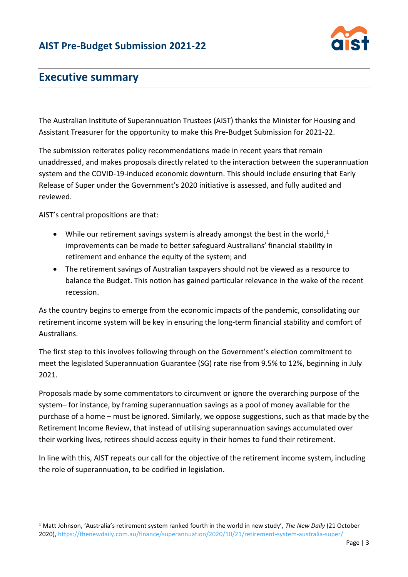

# **Executive summary**

The Australian Institute of Superannuation Trustees (AIST) thanks the Minister for Housing and Assistant Treasurer for the opportunity to make this Pre-Budget Submission for 2021-22.

The submission reiterates policy recommendations made in recent years that remain unaddressed, and makes proposals directly related to the interaction between the superannuation system and the COVID-19-induced economic downturn. This should include ensuring that Early Release of Super under the Government's 2020 initiative is assessed, and fully audited and reviewed.

AIST's central propositions are that:

- While our retirement savings system is already amongst the best in the world, $1$ improvements can be made to better safeguard Australians' financial stability in retirement and enhance the equity of the system; and
- The retirement savings of Australian taxpayers should not be viewed as a resource to balance the Budget. This notion has gained particular relevance in the wake of the recent recession.

As the country begins to emerge from the economic impacts of the pandemic, consolidating our retirement income system will be key in ensuring the long-term financial stability and comfort of Australians.

The first step to this involves following through on the Government's election commitment to meet the legislated Superannuation Guarantee (SG) rate rise from 9.5% to 12%, beginning in July 2021.

Proposals made by some commentators to circumvent or ignore the overarching purpose of the system– for instance, by framing superannuation savings as a pool of money available for the purchase of a home – must be ignored. Similarly, we oppose suggestions, such as that made by the Retirement Income Review, that instead of utilising superannuation savings accumulated over their working lives, retirees should access equity in their homes to fund their retirement.

In line with this, AIST repeats our call for the objective of the retirement income system, including the role of superannuation, to be codified in legislation.

<sup>1</sup> Matt Johnson, 'Australia's retirement system ranked fourth in the world in new study', *The New Daily* (21 October 2020),<https://thenewdaily.com.au/finance/superannuation/2020/10/21/retirement-system-australia-super/>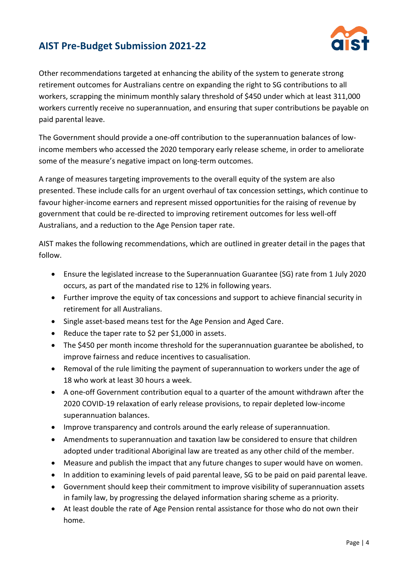

Other recommendations targeted at enhancing the ability of the system to generate strong retirement outcomes for Australians centre on expanding the right to SG contributions to all workers, scrapping the minimum monthly salary threshold of \$450 under which at least 311,000 workers currently receive no superannuation, and ensuring that super contributions be payable on paid parental leave.

The Government should provide a one-off contribution to the superannuation balances of lowincome members who accessed the 2020 temporary early release scheme, in order to ameliorate some of the measure's negative impact on long-term outcomes.

A range of measures targeting improvements to the overall equity of the system are also presented. These include calls for an urgent overhaul of tax concession settings, which continue to favour higher-income earners and represent missed opportunities for the raising of revenue by government that could be re-directed to improving retirement outcomes for less well-off Australians, and a reduction to the Age Pension taper rate.

AIST makes the following recommendations, which are outlined in greater detail in the pages that follow.

- Ensure the legislated increase to the Superannuation Guarantee (SG) rate from 1 July 2020 occurs, as part of the mandated rise to 12% in following years.
- Further improve the equity of tax concessions and support to achieve financial security in retirement for all Australians.
- Single asset-based means test for the Age Pension and Aged Care.
- Reduce the taper rate to \$2 per \$1,000 in assets.
- The \$450 per month income threshold for the superannuation guarantee be abolished, to improve fairness and reduce incentives to casualisation.
- Removal of the rule limiting the payment of superannuation to workers under the age of 18 who work at least 30 hours a week.
- A one-off Government contribution equal to a quarter of the amount withdrawn after the 2020 COVID-19 relaxation of early release provisions, to repair depleted low-income superannuation balances.
- Improve transparency and controls around the early release of superannuation.
- Amendments to superannuation and taxation law be considered to ensure that children adopted under traditional Aboriginal law are treated as any other child of the member.
- Measure and publish the impact that any future changes to super would have on women.
- In addition to examining levels of paid parental leave, SG to be paid on paid parental leave.
- Government should keep their commitment to improve visibility of superannuation assets in family law, by progressing the delayed information sharing scheme as a priority.
- At least double the rate of Age Pension rental assistance for those who do not own their home.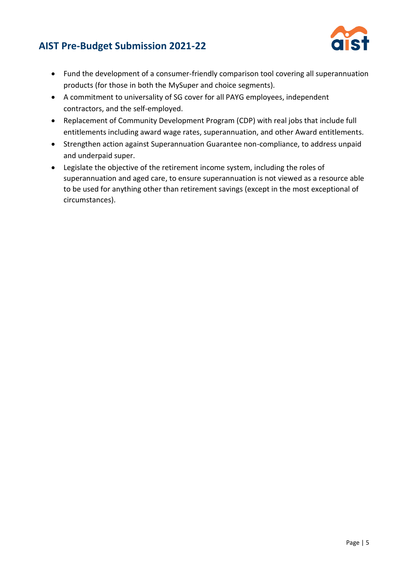

- Fund the development of a consumer-friendly comparison tool covering all superannuation products (for those in both the MySuper and choice segments).
- A commitment to universality of SG cover for all PAYG employees, independent contractors, and the self-employed.
- Replacement of Community Development Program (CDP) with real jobs that include full entitlements including award wage rates, superannuation, and other Award entitlements.
- Strengthen action against Superannuation Guarantee non-compliance, to address unpaid and underpaid super.
- Legislate the objective of the retirement income system, including the roles of superannuation and aged care, to ensure superannuation is not viewed as a resource able to be used for anything other than retirement savings (except in the most exceptional of circumstances).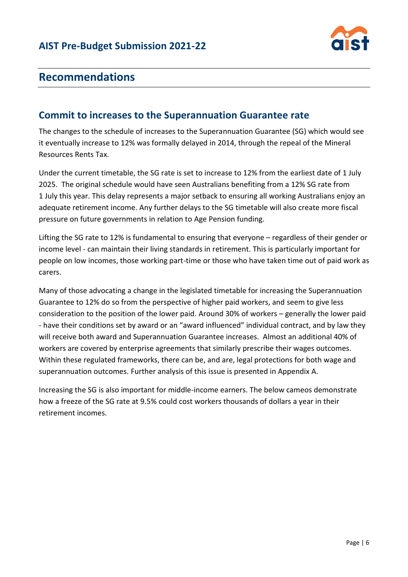

# **Recommendations**

### **Commit to increases to the Superannuation Guarantee rate**

The changes to the schedule of increases to the Superannuation Guarantee (SG) which would see it eventually increase to 12% was formally delayed in 2014, through the repeal of the Mineral Resources Rents Tax.

Under the current timetable, the SG rate is set to increase to 12% from the earliest date of 1 July 2025. The original schedule would have seen Australians benefiting from a 12% SG rate from 1 July this year. This delay represents a major setback to ensuring all working Australians enjoy an adequate retirement income. Any further delays to the SG timetable will also create more fiscal pressure on future governments in relation to Age Pension funding.

Lifting the SG rate to 12% is fundamental to ensuring that everyone – regardless of their gender or income level - can maintain their living standards in retirement. This is particularly important for people on low incomes, those working part-time or those who have taken time out of paid work as carers.

Many of those advocating a change in the legislated timetable for increasing the Superannuation Guarantee to 12% do so from the perspective of higher paid workers, and seem to give less consideration to the position of the lower paid. Around 30% of workers – generally the lower paid - have their conditions set by award or an "award influenced" individual contract, and by law they will receive both award and Superannuation Guarantee increases. Almost an additional 40% of workers are covered by enterprise agreements that similarly prescribe their wages outcomes. Within these regulated frameworks, there can be, and are, legal protections for both wage and superannuation outcomes. Further analysis of this issue is presented in Appendix A.

Increasing the SG is also important for middle-income earners. The below cameos demonstrate how a freeze of the SG rate at 9.5% could cost workers thousands of dollars a year in their retirement incomes.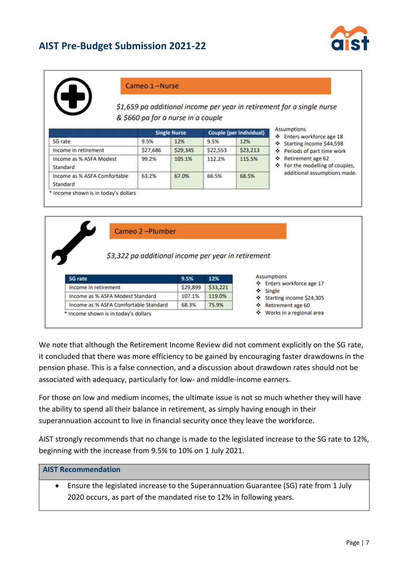



#### Cameo 1-Nurse

\$1,659 pa additional income per year in retirement for a single nurse & \$660 pa for a nurse in a couple

|                                          | <b>Single Nurse</b> |          | Couple (per individual) |          |
|------------------------------------------|---------------------|----------|-------------------------|----------|
| <b>SG</b> rate                           | 9.5%                | 12%      | 9.5%                    | 12%      |
| Income in retirement                     | \$27,686            | \$29,345 | \$22,553                | \$23,213 |
| Income as % ASFA Modest<br>Standard      | 99.2%               | 105.1%   | 112.2%                  | 115.5%   |
| Income as % ASFA Comfortable<br>Standard | 63.2%               | 67.0%    | 66.5%                   | 68.5%    |

- **ptions**
- ters workforce age 18
- arting income \$44,598
- riods of part time work
- tirement age 62
- or the modelling of couples, ditional assumptions made.

Cameo 2-Plumber

#### \$3,322 pa additional income per year in retirement

| <b>SG</b> rate                        | 9.5%     | 12%      |
|---------------------------------------|----------|----------|
| Income in retirement                  | \$29,899 | \$33,221 |
| Income as % ASFA Modest Standard      | 107.1%   | 119.0%   |
| Income as % ASFA Comfortable Standard | 68.3%    | 75.9%    |
| * Income shown is in today's dollars  |          |          |

We note that although the Retirement Income Review did not comment explicitly on the SG rate, it concluded that there was more efficiency to be gained by encouraging faster drawdowns in the pension phase. This is a false connection, and a discussion about drawdown rates should not be associated with adequacy, particularly for low- and middle-income earners.

For those on low and medium incomes, the ultimate issue is not so much whether they will have the ability to spend all their balance in retirement, as simply having enough in their superannuation account to live in financial security once they leave the workforce.

AIST strongly recommends that no change is made to the legislated increase to the SG rate to 12%, beginning with the increase from 9.5% to 10% on 1 July 2021.

#### **AIST Recommendation**

• Ensure the legislated increase to the Superannuation Guarantee (SG) rate from 1 July 2020 occurs, as part of the mandated rise to 12% in following years.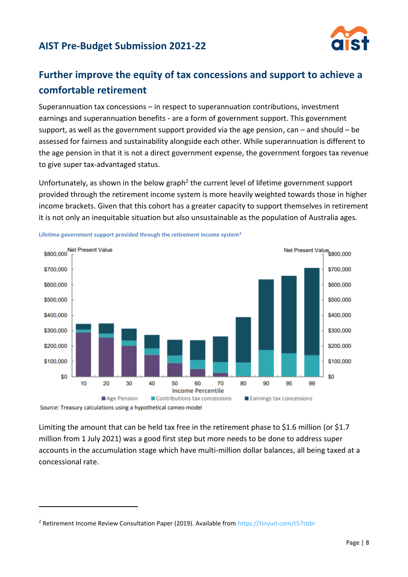

# **Further improve the equity of tax concessions and support to achieve a comfortable retirement**

Superannuation tax concessions – in respect to superannuation contributions, investment earnings and superannuation benefits - are a form of government support. This government support, as well as the government support provided via the age pension, can – and should – be assessed for fairness and sustainability alongside each other. While superannuation is different to the age pension in that it is not a direct government expense, the government forgoes tax revenue to give super tax-advantaged status.

Unfortunately, as shown in the below graph<sup>2</sup> the current level of lifetime government support provided through the retirement income system is more heavily weighted towards those in higher income brackets. Given that this cohort has a greater capacity to support themselves in retirement it is not only an inequitable situation but also unsustainable as the population of Australia ages.



**Lifetime government support provided through the retirement income system<sup>3</sup>**

Source: Treasury calculations using a hypothetical cameo model

Limiting the amount that can be held tax free in the retirement phase to \$1.6 million (or \$1.7 million from 1 July 2021) was a good first step but more needs to be done to address super accounts in the accumulation stage which have multi-million dollar balances, all being taxed at a concessional rate.

<sup>&</sup>lt;sup>2</sup> Retirement Income Review Consultation Paper (2019). Available from<https://tinyurl.com/t57sbbr>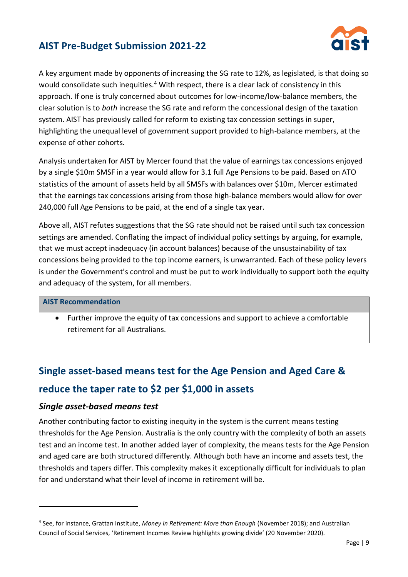

A key argument made by opponents of increasing the SG rate to 12%, as legislated, is that doing so would consolidate such inequities.<sup>4</sup> With respect, there is a clear lack of consistency in this approach. If one is truly concerned about outcomes for low-income/low-balance members, the clear solution is to *both* increase the SG rate and reform the concessional design of the taxation system. AIST has previously called for reform to existing tax concession settings in super, highlighting the unequal level of government support provided to high-balance members, at the expense of other cohorts.

Analysis undertaken for AIST by Mercer found that the value of earnings tax concessions enjoyed by a single \$10m SMSF in a year would allow for 3.1 full Age Pensions to be paid. Based on ATO statistics of the amount of assets held by all SMSFs with balances over \$10m, Mercer estimated that the earnings tax concessions arising from those high-balance members would allow for over 240,000 full Age Pensions to be paid, at the end of a single tax year.

Above all, AIST refutes suggestions that the SG rate should not be raised until such tax concession settings are amended. Conflating the impact of individual policy settings by arguing, for example, that we must accept inadequacy (in account balances) because of the unsustainability of tax concessions being provided to the top income earners, is unwarranted. Each of these policy levers is under the Government's control and must be put to work individually to support both the equity and adequacy of the system, for all members.

#### **AIST Recommendation**

• Further improve the equity of tax concessions and support to achieve a comfortable retirement for all Australians.

# **Single asset-based means test for the Age Pension and Aged Care & reduce the taper rate to \$2 per \$1,000 in assets**

#### *Single asset-based means test*

Another contributing factor to existing inequity in the system is the current means testing thresholds for the Age Pension. Australia is the only country with the complexity of both an assets test and an income test. In another added layer of complexity, the means tests for the Age Pension and aged care are both structured differently. Although both have an income and assets test, the thresholds and tapers differ. This complexity makes it exceptionally difficult for individuals to plan for and understand what their level of income in retirement will be.

<sup>4</sup> See, for instance, Grattan Institute, *Money in Retirement: More than Enough* (November 2018); and Australian Council of Social Services, 'Retirement Incomes Review highlights growing divide' (20 November 2020).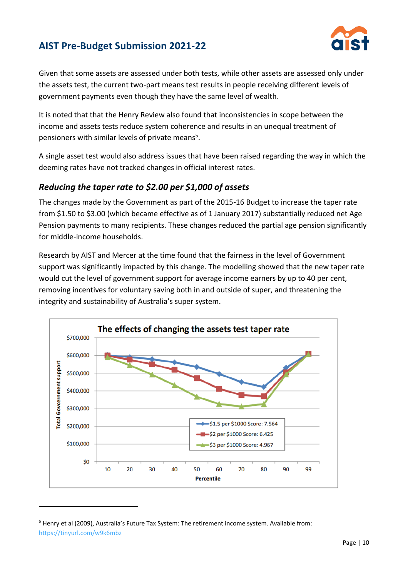

Given that some assets are assessed under both tests, while other assets are assessed only under the assets test, the current two-part means test results in people receiving different levels of government payments even though they have the same level of wealth.

It is noted that that the Henry Review also found that inconsistencies in scope between the income and assets tests reduce system coherence and results in an unequal treatment of pensioners with similar levels of private means<sup>5</sup>.

A single asset test would also address issues that have been raised regarding the way in which the deeming rates have not tracked changes in official interest rates.

#### *Reducing the taper rate to \$2.00 per \$1,000 of assets*

The changes made by the Government as part of the 2015-16 Budget to increase the taper rate from \$1.50 to \$3.00 (which became effective as of 1 January 2017) substantially reduced net Age Pension payments to many recipients. These changes reduced the partial age pension significantly for middle-income households.

Research by AIST and Mercer at the time found that the fairness in the level of Government support was significantly impacted by this change. The modelling showed that the new taper rate would cut the level of government support for average income earners by up to 40 per cent, removing incentives for voluntary saving both in and outside of super, and threatening the integrity and sustainability of Australia's super system.



<sup>&</sup>lt;sup>5</sup> Henry et al (2009), Australia's Future Tax System: The retirement income system. Available from: <https://tinyurl.com/w9k6mbz>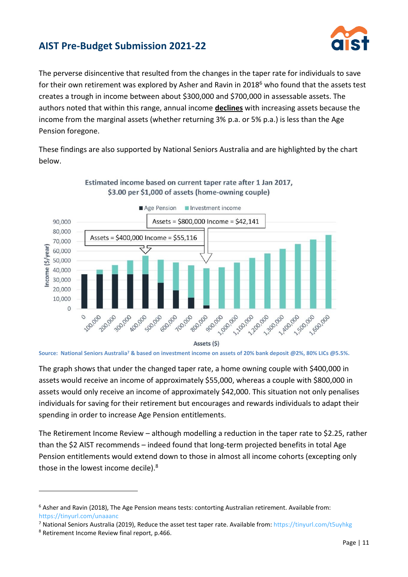

The perverse disincentive that resulted from the changes in the taper rate for individuals to save for their own retirement was explored by Asher and Ravin in 2018<sup>6</sup> who found that the assets test creates a trough in income between about \$300,000 and \$700,000 in assessable assets. The authors noted that within this range, annual income **declines** with increasing assets because the income from the marginal assets (whether returning 3% p.a. or 5% p.a.) is less than the Age Pension foregone.

These findings are also supported by National Seniors Australia and are highlighted by the chart below.



#### Estimated income based on current taper rate after 1 Jan 2017, \$3.00 per \$1,000 of assets (home-owning couple)

The graph shows that under the changed taper rate, a home owning couple with \$400,000 in assets would receive an income of approximately \$55,000, whereas a couple with \$800,000 in assets would only receive an income of approximately \$42,000. This situation not only penalises individuals for saving for their retirement but encourages and rewards individuals to adapt their spending in order to increase Age Pension entitlements.

The Retirement Income Review – although modelling a reduction in the taper rate to \$2.25, rather than the \$2 AIST recommends – indeed found that long-term projected benefits in total Age Pension entitlements would extend down to those in almost all income cohorts (excepting only those in the lowest income decile).<sup>8</sup>

**Source: National Seniors Australia<sup>7</sup> & based on investment income on assets of 20% bank deposit @2%, 80% LICs @5.5%.**

<sup>6</sup> Asher and Ravin (2018), The Age Pension means tests: contorting Australian retirement. Available from: <https://tinyurl.com/unaaanc>

<sup>7</sup> National Seniors Australia (2019), Reduce the asset test taper rate. Available from:<https://tinyurl.com/t5uyhkg>

<sup>8</sup> Retirement Income Review final report, p.466.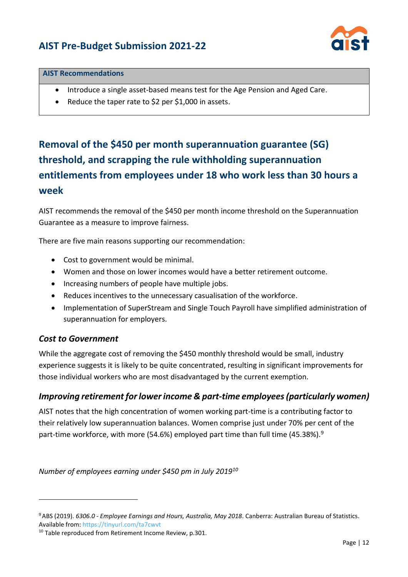

#### **AIST Recommendations**

- Introduce a single asset-based means test for the Age Pension and Aged Care.
- Reduce the taper rate to \$2 per \$1,000 in assets.

# **Removal of the \$450 per month superannuation guarantee (SG) threshold, and scrapping the rule withholding superannuation entitlements from employees under 18 who work less than 30 hours a week**

AIST recommends the removal of the \$450 per month income threshold on the Superannuation Guarantee as a measure to improve fairness.

There are five main reasons supporting our recommendation:

- Cost to government would be minimal.
- Women and those on lower incomes would have a better retirement outcome.
- Increasing numbers of people have multiple jobs.
- Reduces incentives to the unnecessary casualisation of the workforce.
- Implementation of SuperStream and Single Touch Payroll have simplified administration of superannuation for employers.

#### *Cost to Government*

While the aggregate cost of removing the \$450 monthly threshold would be small, industry experience suggests it is likely to be quite concentrated, resulting in significant improvements for those individual workers who are most disadvantaged by the current exemption.

#### *Improving retirement for lower income & part-time employees (particularly women)*

AIST notes that the high concentration of women working part-time is a contributing factor to their relatively low superannuation balances. Women comprise just under 70% per cent of the part-time workforce, with more (54.6%) employed part time than full time (45.38%).<sup>9</sup>

*Number of employees earning under \$450 pm in July 2019<sup>10</sup>*

<sup>9</sup>ABS (2019). *6306.0 - Employee Earnings and Hours, Australia, May 2018*. Canberra: Australian Bureau of Statistics. Available from[: https://tinyurl.com/ta7cwvt](https://tinyurl.com/ta7cwvt)

<sup>&</sup>lt;sup>10</sup> Table reproduced from Retirement Income Review, p.301.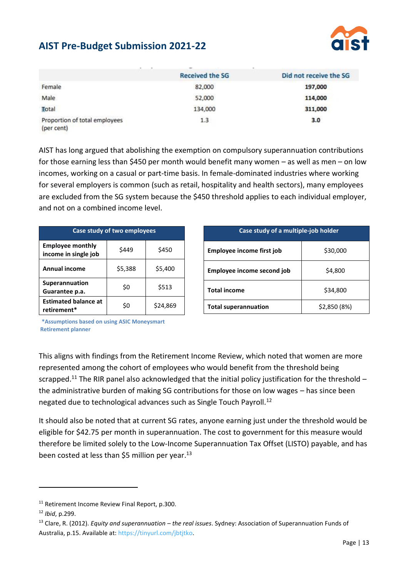

|                                             | <b>Received the SG</b> | Did not receive the SG |
|---------------------------------------------|------------------------|------------------------|
| Female                                      | 82,000                 | 197,000                |
| Male                                        | 52,000                 | 114,000                |
| Total                                       | 134,000                | 311,000                |
| Proportion of total employees<br>(per cent) | 1.3                    | 3.0                    |

AIST has long argued that abolishing the exemption on compulsory superannuation contributions for those earning less than \$450 per month would benefit many women – as well as men – on low incomes, working on a casual or part-time basis. In female-dominated industries where working for several employers is common (such as retail, hospitality and health sectors), many employees are excluded from the SG system because the \$450 threshold applies to each individual employer, and not on a combined income level.

| Case study of two employees                     |         |          |  |  |
|-------------------------------------------------|---------|----------|--|--|
| <b>Employee monthly</b><br>income in single job | \$449   | \$450    |  |  |
| <b>Annual income</b>                            | \$5,388 | \$5,400  |  |  |
| Superannuation<br>Guarantee p.a.                | \$0     | \$513    |  |  |
| <b>Estimated balance at</b><br>retirement*      | \$0     | \$24,869 |  |  |

| Case study of a multiple-job holder         |          |  |  |
|---------------------------------------------|----------|--|--|
| Employee income first job                   | \$30,000 |  |  |
| Employee income second job                  | \$4,800  |  |  |
| <b>Total income</b>                         | \$34,800 |  |  |
| \$2,850 (8%)<br><b>Total superannuation</b> |          |  |  |

**\*Assumptions based on using ASIC Moneysmart Retirement planner**

This aligns with findings from the Retirement Income Review, which noted that women are more represented among the cohort of employees who would benefit from the threshold being scrapped.<sup>11</sup> The RIR panel also acknowledged that the initial policy justification for the threshold – the administrative burden of making SG contributions for those on low wages – has since been negated due to technological advances such as Single Touch Payroll.<sup>12</sup>

It should also be noted that at current SG rates, anyone earning just under the threshold would be eligible for \$42.75 per month in superannuation. The cost to government for this measure would therefore be limited solely to the Low-Income Superannuation Tax Offset (LISTO) payable, and has been costed at less than \$5 million per year.<sup>13</sup>

<sup>&</sup>lt;sup>11</sup> Retirement Income Review Final Report, p.300.

<sup>12</sup> *Ibid*, p.299.

<sup>13</sup> Clare, R. (2012). *Equity and superannuation – the real issues*. Sydney: Association of Superannuation Funds of Australia, p.15. Available at[: https://tinyurl.com/jbtjtko.](https://tinyurl.com/jbtjtko)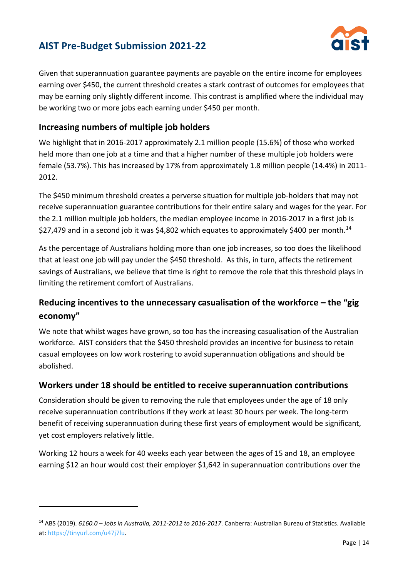

Given that superannuation guarantee payments are payable on the entire income for employees earning over \$450, the current threshold creates a stark contrast of outcomes for employees that may be earning only slightly different income. This contrast is amplified where the individual may be working two or more jobs each earning under \$450 per month.

#### **Increasing numbers of multiple job holders**

We highlight that in 2016-2017 approximately 2.1 million people (15.6%) of those who worked held more than one job at a time and that a higher number of these multiple job holders were female (53.7%). This has increased by 17% from approximately 1.8 million people (14.4%) in 2011- 2012.

The \$450 minimum threshold creates a perverse situation for multiple job-holders that may not receive superannuation guarantee contributions for their entire salary and wages for the year. For the 2.1 million multiple job holders, the median employee income in 2016-2017 in a first job is \$27,479 and in a second job it was \$4,802 which equates to approximately \$400 per month.<sup>14</sup>

As the percentage of Australians holding more than one job increases, so too does the likelihood that at least one job will pay under the \$450 threshold. As this, in turn, affects the retirement savings of Australians, we believe that time is right to remove the role that this threshold plays in limiting the retirement comfort of Australians.

### **Reducing incentives to the unnecessary casualisation of the workforce – the "gig economy"**

We note that whilst wages have grown, so too has the increasing casualisation of the Australian workforce. AIST considers that the \$450 threshold provides an incentive for business to retain casual employees on low work rostering to avoid superannuation obligations and should be abolished.

#### **Workers under 18 should be entitled to receive superannuation contributions**

Consideration should be given to removing the rule that employees under the age of 18 only receive superannuation contributions if they work at least 30 hours per week. The long-term benefit of receiving superannuation during these first years of employment would be significant, yet cost employers relatively little.

Working 12 hours a week for 40 weeks each year between the ages of 15 and 18, an employee earning \$12 an hour would cost their employer \$1,642 in superannuation contributions over the

<sup>14</sup> ABS (2019). *6160.0 – Jobs in Australia, 2011-2012 to 2016-2017*. Canberra: Australian Bureau of Statistics. Available at: [https://tinyurl.com/u47j7lu.](https://tinyurl.com/u47j7lu)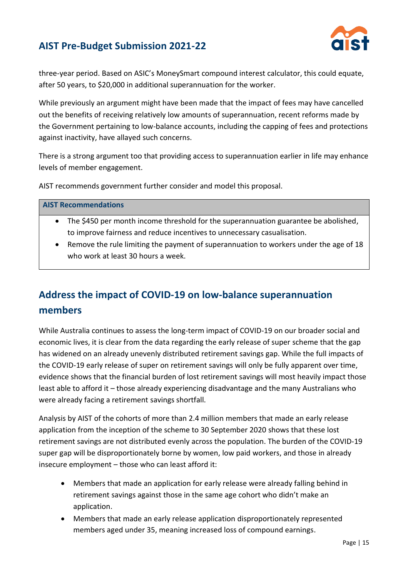

three-year period. Based on ASIC's MoneySmart compound interest calculator, this could equate, after 50 years, to \$20,000 in additional superannuation for the worker.

While previously an argument might have been made that the impact of fees may have cancelled out the benefits of receiving relatively low amounts of superannuation, recent reforms made by the Government pertaining to low-balance accounts, including the capping of fees and protections against inactivity, have allayed such concerns.

There is a strong argument too that providing access to superannuation earlier in life may enhance levels of member engagement.

AIST recommends government further consider and model this proposal.

#### **AIST Recommendations**

- The \$450 per month income threshold for the superannuation guarantee be abolished, to improve fairness and reduce incentives to unnecessary casualisation.
- Remove the rule limiting the payment of superannuation to workers under the age of 18 who work at least 30 hours a week.

# **Address the impact of COVID-19 on low-balance superannuation members**

While Australia continues to assess the long-term impact of COVID-19 on our broader social and economic lives, it is clear from the data regarding the early release of super scheme that the gap has widened on an already unevenly distributed retirement savings gap. While the full impacts of the COVID-19 early release of super on retirement savings will only be fully apparent over time, evidence shows that the financial burden of lost retirement savings will most heavily impact those least able to afford it – those already experiencing disadvantage and the many Australians who were already facing a retirement savings shortfall.

Analysis by AIST of the cohorts of more than 2.4 million members that made an early release application from the inception of the scheme to 30 September 2020 shows that these lost retirement savings are not distributed evenly across the population. The burden of the COVID-19 super gap will be disproportionately borne by women, low paid workers, and those in already insecure employment – those who can least afford it:

- Members that made an application for early release were already falling behind in retirement savings against those in the same age cohort who didn't make an application.
- Members that made an early release application disproportionately represented members aged under 35, meaning increased loss of compound earnings.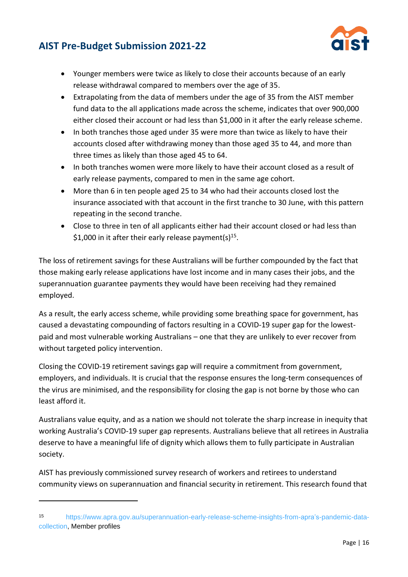

- Younger members were twice as likely to close their accounts because of an early release withdrawal compared to members over the age of 35.
- Extrapolating from the data of members under the age of 35 from the AIST member fund data to the all applications made across the scheme, indicates that over 900,000 either closed their account or had less than \$1,000 in it after the early release scheme.
- In both tranches those aged under 35 were more than twice as likely to have their accounts closed after withdrawing money than those aged 35 to 44, and more than three times as likely than those aged 45 to 64.
- In both tranches women were more likely to have their account closed as a result of early release payments, compared to men in the same age cohort.
- More than 6 in ten people aged 25 to 34 who had their accounts closed lost the insurance associated with that account in the first tranche to 30 June, with this pattern repeating in the second tranche.
- Close to three in ten of all applicants either had their account closed or had less than \$1,000 in it after their early release payment(s)<sup>15</sup>.

The loss of retirement savings for these Australians will be further compounded by the fact that those making early release applications have lost income and in many cases their jobs, and the superannuation guarantee payments they would have been receiving had they remained employed.

As a result, the early access scheme, while providing some breathing space for government, has caused a devastating compounding of factors resulting in a COVID-19 super gap for the lowestpaid and most vulnerable working Australians – one that they are unlikely to ever recover from without targeted policy intervention.

Closing the COVID-19 retirement savings gap will require a commitment from government, employers, and individuals. It is crucial that the response ensures the long-term consequences of the virus are minimised, and the responsibility for closing the gap is not borne by those who can least afford it.

Australians value equity, and as a nation we should not tolerate the sharp increase in inequity that working Australia's COVID-19 super gap represents. Australians believe that all retirees in Australia deserve to have a meaningful life of dignity which allows them to fully participate in Australian society.

AIST has previously commissioned survey research of workers and retirees to understand community views on superannuation and financial security in retirement. This research found that

<sup>15</sup> [https://www.apra.gov.au/superannuation-early-release-scheme-insights-from-apra's-pandemic-data](https://www.apra.gov.au/superannuation-early-release-scheme-insights-from-apra’s-pandemic-data-collection)[collection,](https://www.apra.gov.au/superannuation-early-release-scheme-insights-from-apra’s-pandemic-data-collection) Member profiles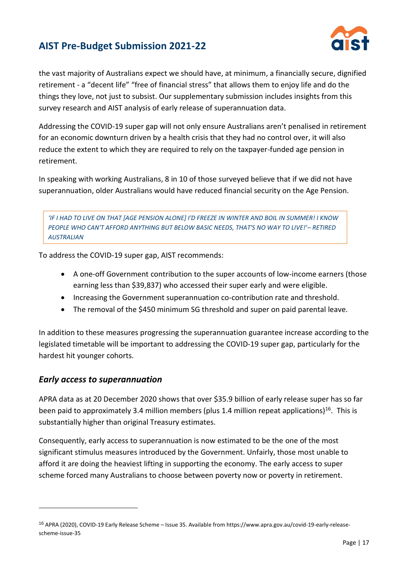

the vast majority of Australians expect we should have, at minimum, a financially secure, dignified retirement - a "decent life" "free of financial stress" that allows them to enjoy life and do the things they love, not just to subsist. Our supplementary submission includes insights from this survey research and AIST analysis of early release of superannuation data.

Addressing the COVID-19 super gap will not only ensure Australians aren't penalised in retirement for an economic downturn driven by a health crisis that they had no control over, it will also reduce the extent to which they are required to rely on the taxpayer-funded age pension in retirement.

In speaking with working Australians, 8 in 10 of those surveyed believe that if we did not have superannuation, older Australians would have reduced financial security on the Age Pension.

*'IF I HAD TO LIVE ON THAT [AGE PENSION ALONE] I'D FREEZE IN WINTER AND BOIL IN SUMMER! I KNOW PEOPLE WHO CAN'T AFFORD ANYTHING BUT BELOW BASIC NEEDS, THAT'S NO WAY TO LIVE!'– RETIRED AUSTRALIAN*

To address the COVID-19 super gap, AIST recommends:

- A one-off Government contribution to the super accounts of low-income earners (those earning less than \$39,837) who accessed their super early and were eligible.
- Increasing the Government superannuation co-contribution rate and threshold.
- The removal of the \$450 minimum SG threshold and super on paid parental leave.

In addition to these measures progressing the superannuation guarantee increase according to the legislated timetable will be important to addressing the COVID-19 super gap, particularly for the hardest hit younger cohorts.

#### *Early access to superannuation*

APRA data as at 20 December 2020 shows that over \$35.9 billion of early release super has so far been paid to approximately 3.4 million members (plus 1.4 million repeat applications)<sup>16</sup>. This is substantially higher than original Treasury estimates.

Consequently, early access to superannuation is now estimated to be the one of the most significant stimulus measures introduced by the Government. Unfairly, those most unable to afford it are doing the heaviest lifting in supporting the economy. The early access to super scheme forced many Australians to choose between poverty now or poverty in retirement.

<sup>&</sup>lt;sup>16</sup> APRA (2020), COVID-19 Early Release Scheme – Issue 35. Available from https://www.apra.gov.au/covid-19-early-releasescheme-issue-35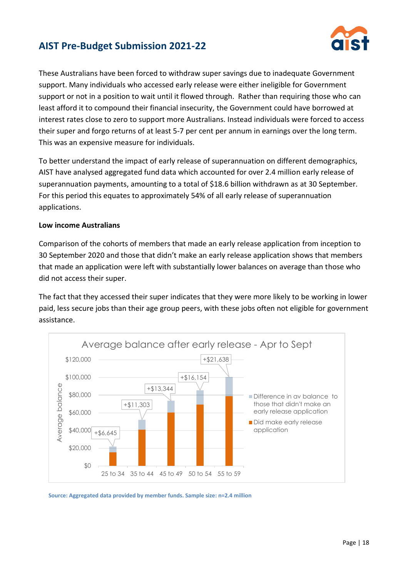

These Australians have been forced to withdraw super savings due to inadequate Government support. Many individuals who accessed early release were either ineligible for Government support or not in a position to wait until it flowed through. Rather than requiring those who can least afford it to compound their financial insecurity, the Government could have borrowed at interest rates close to zero to support more Australians. Instead individuals were forced to access their super and forgo returns of at least 5-7 per cent per annum in earnings over the long term. This was an expensive measure for individuals.

To better understand the impact of early release of superannuation on different demographics, AIST have analysed aggregated fund data which accounted for over 2.4 million early release of superannuation payments, amounting to a total of \$18.6 billion withdrawn as at 30 September. For this period this equates to approximately 54% of all early release of superannuation applications.

#### **Low income Australians**

Comparison of the cohorts of members that made an early release application from inception to 30 September 2020 and those that didn't make an early release application shows that members that made an application were left with substantially lower balances on average than those who did not access their super.

The fact that they accessed their super indicates that they were more likely to be working in lower paid, less secure jobs than their age group peers, with these jobs often not eligible for government assistance.



**Source: Aggregated data provided by member funds. Sample size: n=2.4 million**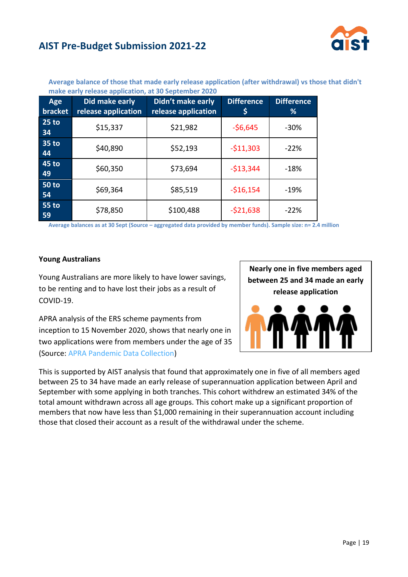

|                    | make early release application, at 50 september 2020 |                                          |                        |                        |  |  |
|--------------------|------------------------------------------------------|------------------------------------------|------------------------|------------------------|--|--|
| Age<br>bracket     | Did make early<br>release application                | Didn't make early<br>release application | <b>Difference</b><br>Ş | <b>Difference</b><br>% |  |  |
| $25$ to<br>34      | \$15,337                                             | \$21,982                                 | $-56,645$              | $-30%$                 |  |  |
| 35 to<br>44        | \$40,890                                             | \$52,193                                 | $-511,303$             | $-22%$                 |  |  |
| 45 to<br>49        | \$60,350                                             | \$73,694                                 | $-$13,344$             | $-18%$                 |  |  |
| <b>50 to</b><br>54 | \$69,364                                             | \$85,519                                 | $-$16,154$             | $-19%$                 |  |  |
| <b>55 to</b><br>59 | \$78,850                                             | \$100,488                                | $-521,638$             | $-22%$                 |  |  |

**Average balance of those that made early release application (after withdrawal) vs those that didn't make early release application, at 30 September 2020**

**Average balances as at 30 Sept (Source – aggregated data provided by member funds). Sample size: n= 2.4 million**

#### **Young Australians**

Young Australians are more likely to have lower savings, to be renting and to have lost their jobs as a result of COVID-19.

**Nearly one in five members aged between 25 and 34 made an early release application**

APRA analysis of the ERS scheme payments from inception to 15 November 2020, shows that nearly one in two applications were from members under the age of 35 (Source: [APRA Pandemic Data Collection\)](https://www.apra.gov.au/superannuation-early-release-scheme-insights-from-apra’s-pandemic-data-collection)

This is supported by AIST analysis that found that approximately one in five of all members aged between 25 to 34 have made an early release of superannuation application between April and September with some applying in both tranches. This cohort withdrew an estimated 34% of the total amount withdrawn across all age groups. This cohort make up a significant proportion of members that now have less than \$1,000 remaining in their superannuation account including those that closed their account as a result of the withdrawal under the scheme.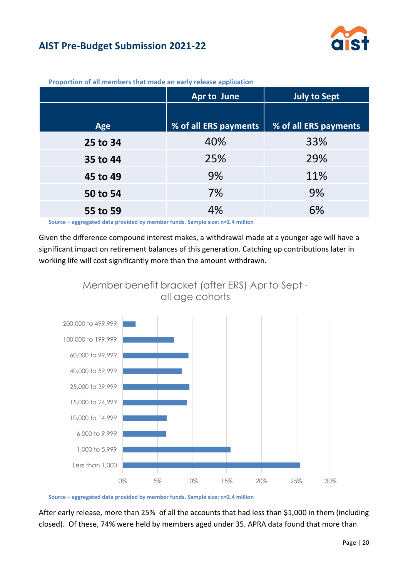

|          | <b>Apr to June</b>    | <b>July to Sept</b>   |
|----------|-----------------------|-----------------------|
|          |                       |                       |
| Age      | % of all ERS payments | % of all ERS payments |
| 25 to 34 | 40%                   | 33%                   |
| 35 to 44 | 25%                   | 29%                   |
| 45 to 49 | 9%                    | 11%                   |
| 50 to 54 | 7%                    | 9%                    |
| 55 to 59 | 4%                    | 6%                    |

**Proportion of all members that made an early release application**

**Source – aggregated data provided by member funds. Sample size: n=2.4 million**

Given the difference compound interest makes, a withdrawal made at a younger age will have a significant impact on retirement balances of this generation. Catching up contributions later in working life will cost significantly more than the amount withdrawn.



**Source – aggregated data provided by member funds. Sample size: n=2.4 million**

After early release, more than 25% of all the accounts that had less than \$1,000 in them (including closed). Of these, 74% were held by members aged under 35. APRA data found that more than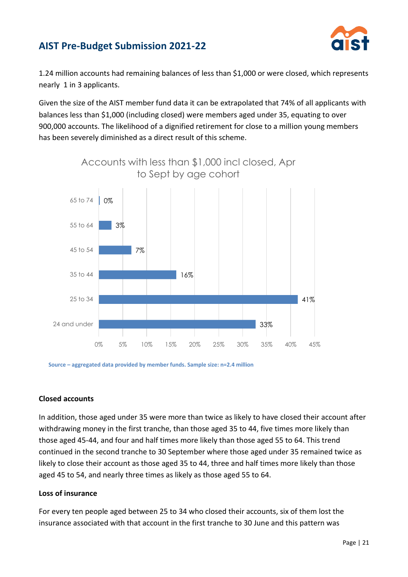

1.24 million accounts had remaining balances of less than \$1,000 or were closed, which represents nearly 1 in 3 applicants.

Given the size of the AIST member fund data it can be extrapolated that 74% of all applicants with balances less than \$1,000 (including closed) were members aged under 35, equating to over 900,000 accounts. The likelihood of a dignified retirement for close to a million young members has been severely diminished as a direct result of this scheme.



**Source – aggregated data provided by member funds. Sample size: n=2.4 million**

#### **Closed accounts**

In addition, those aged under 35 were more than twice as likely to have closed their account after withdrawing money in the first tranche, than those aged 35 to 44, five times more likely than those aged 45-44, and four and half times more likely than those aged 55 to 64. This trend continued in the second tranche to 30 September where those aged under 35 remained twice as likely to close their account as those aged 35 to 44, three and half times more likely than those aged 45 to 54, and nearly three times as likely as those aged 55 to 64.

#### **Loss of insurance**

For every ten people aged between 25 to 34 who closed their accounts, six of them lost the insurance associated with that account in the first tranche to 30 June and this pattern was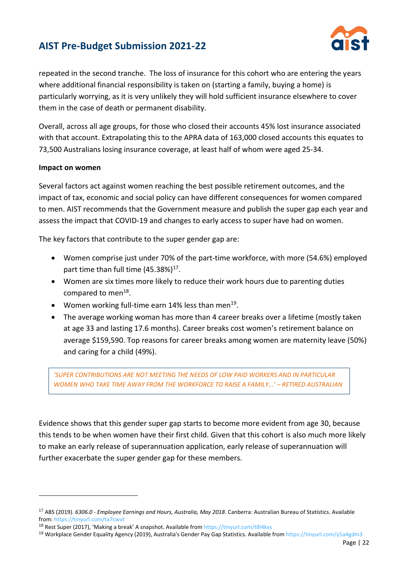

repeated in the second tranche. The loss of insurance for this cohort who are entering the years where additional financial responsibility is taken on (starting a family, buying a home) is particularly worrying, as it is very unlikely they will hold sufficient insurance elsewhere to cover them in the case of death or permanent disability.

Overall, across all age groups, for those who closed their accounts 45% lost insurance associated with that account. Extrapolating this to the APRA data of 163,000 closed accounts this equates to 73,500 Australians losing insurance coverage, at least half of whom were aged 25-34.

#### **Impact on women**

Several factors act against women reaching the best possible retirement outcomes, and the impact of tax, economic and social policy can have different consequences for women compared to men. AIST recommends that the Government measure and publish the super gap each year and assess the impact that COVID-19 and changes to early access to super have had on women.

The key factors that contribute to the super gender gap are:

- Women comprise just under 70% of the part-time workforce, with more (54.6%) employed part time than full time (45.38%)<sup>17</sup>.
- Women are six times more likely to reduce their work hours due to parenting duties compared to men<sup>18</sup>.
- $\bullet$  Women working full-time earn 14% less than men<sup>19</sup>.
- The average working woman has more than 4 career breaks over a lifetime (mostly taken at age 33 and lasting 17.6 months). Career breaks cost women's retirement balance on average \$159,590. Top reasons for career breaks among women are maternity leave (50%) and caring for a child (49%).

*'SUPER CONTRIBUTIONS ARE NOT MEETING THE NEEDS OF LOW PAID WORKERS AND IN PARTICULAR WOMEN WHO TAKE TIME AWAY FROM THE WORKFORCE TO RAISE A FAMILY...' – RETIRED AUSTRALIAN*

Evidence shows that this gender super gap starts to become more evident from age 30, because this tends to be when women have their first child. Given that this cohort is also much more likely to make an early release of superannuation application, early release of superannuation will further exacerbate the super gender gap for these members.

<sup>17</sup> ABS (2019). *6306.0 - Employee Earnings and Hours, Australia, May 2018*. Canberra: Australian Bureau of Statistics. Available from:<https://tinyurl.com/ta7cwvt>

<sup>&</sup>lt;sup>18</sup> Rest Super (2017), 'Making a break' A snapshot. Available from <https://tinyurl.com/t8l4kxs>

<sup>19</sup> Workplace Gender Equality Agency (2019), Australia's Gender Pay Gap Statistics. Available from<https://tinyurl.com/y5a4gdm3>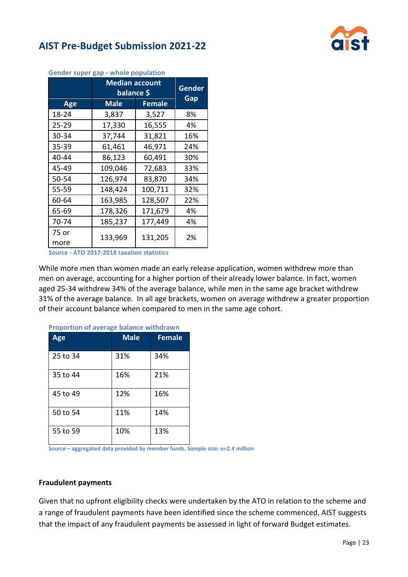



| dender super gap - whole population |                                     |               |     |  |  |
|-------------------------------------|-------------------------------------|---------------|-----|--|--|
|                                     | <b>Median account</b><br>balance \$ | Gender<br>Gap |     |  |  |
| Age                                 | <b>Male</b><br><b>Female</b>        |               |     |  |  |
| 18-24                               | 3,837                               | 3,527         | 8%  |  |  |
| 25-29                               | 17,330                              | 16,555        | 4%  |  |  |
| 30-34                               | 37,744                              | 31,821        | 16% |  |  |
| $35 - 39$                           | 61,461                              | 46,971        | 24% |  |  |
| 40-44                               | 86,123                              | 60,491        | 30% |  |  |
| 45-49                               | 109,046                             | 72,683        | 33% |  |  |
| 50-54                               | 126,974                             | 83,870        | 34% |  |  |
| 55-59                               | 148,424                             | 100,711       | 32% |  |  |
| 60-64                               | 163,985                             | 128,507       | 22% |  |  |
| 65-69                               | 178,326                             | 171,679       | 4%  |  |  |
| 70-74                               | 185,237                             | 177,449       | 4%  |  |  |
| 75 or                               | 133,969                             | 131,205       | 2%  |  |  |
| more                                |                                     |               |     |  |  |

**Gender super gap - whole population**

**Source - ATO 2017-2018 taxation statistics**

While more men than women made an early release application, women withdrew more than men on average, accounting for a higher portion of their already lower balance. In fact, women aged 25-34 withdrew 34% of the average balance, while men in the same age bracket withdrew 31% of the average balance. In all age brackets, women on average withdrew a greater proportion of their account balance when compared to men in the same age cohort.

| Age      | <b>Male</b> | <b>Female</b> |
|----------|-------------|---------------|
| 25 to 34 | 31%         | 34%           |
| 35 to 44 | 16%         | 21%           |
| 45 to 49 | 12%         | 16%           |
| 50 to 54 | 11%         | 14%           |
| 55 to 59 | 10%         | 13%           |

**Proportion of average balance withdrawn**

**Source – aggregated data provided by member funds. Sample size: n=2.4 million**

#### **Fraudulent payments**

Given that no upfront eligibility checks were undertaken by the ATO in relation to the scheme and a range of fraudulent payments have been identified since the scheme commenced, AIST suggests that the impact of any fraudulent payments be assessed in light of forward Budget estimates.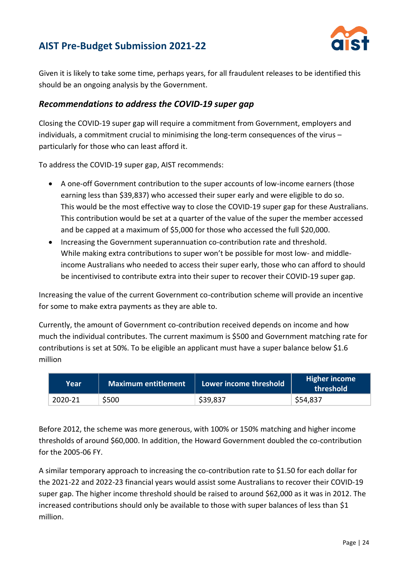

Given it is likely to take some time, perhaps years, for all fraudulent releases to be identified this should be an ongoing analysis by the Government.

#### *Recommendations to address the COVID-19 super gap*

Closing the COVID-19 super gap will require a commitment from Government, employers and individuals, a commitment crucial to minimising the long-term consequences of the virus – particularly for those who can least afford it.

To address the COVID-19 super gap, AIST recommends:

- A one-off Government contribution to the super accounts of low-income earners (those earning less than \$39,837) who accessed their super early and were eligible to do so. This would be the most effective way to close the COVID-19 super gap for these Australians. This contribution would be set at a quarter of the value of the super the member accessed and be capped at a maximum of \$5,000 for those who accessed the full \$20,000.
- Increasing the Government superannuation co-contribution rate and threshold. While making extra contributions to super won't be possible for most low- and middleincome Australians who needed to access their super early, those who can afford to should be incentivised to contribute extra into their super to recover their COVID-19 super gap.

Increasing the value of the current Government co-contribution scheme will provide an incentive for some to make extra payments as they are able to.

Currently, the amount of Government co-contribution received depends on income and how much the individual contributes. The current maximum is \$500 and Government matching rate for contributions is set at 50%. To be eligible an applicant must have a super balance below \$1.6 million

| Year    | Maximum entitlement | Lower income threshold | <b>Higher income</b><br>threshold |
|---------|---------------------|------------------------|-----------------------------------|
| 2020-21 | \$500               | \$39,837               | \$54,837                          |

Before 2012, the scheme was more generous, with 100% or 150% matching and higher income thresholds of around \$60,000. In addition, the Howard Government doubled the co-contribution for the 2005-06 FY.

A similar temporary approach to increasing the co-contribution rate to \$1.50 for each dollar for the 2021-22 and 2022-23 financial years would assist some Australians to recover their COVID-19 super gap. The higher income threshold should be raised to around \$62,000 as it was in 2012. The increased contributions should only be available to those with super balances of less than \$1 million.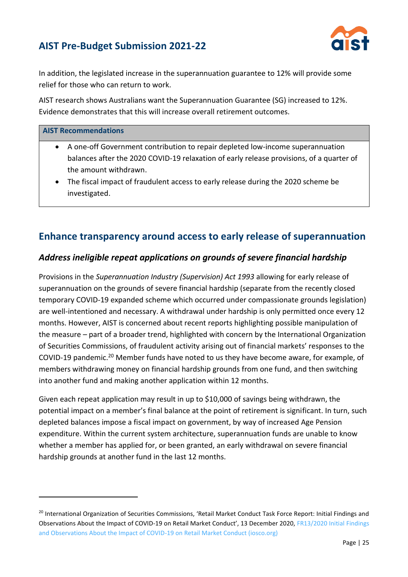

In addition, the legislated increase in the superannuation guarantee to 12% will provide some relief for those who can return to work.

AIST research shows Australians want the Superannuation Guarantee (SG) increased to 12%. Evidence demonstrates that this will increase overall retirement outcomes.

#### **AIST Recommendations**

- A one-off Government contribution to repair depleted low-income superannuation balances after the 2020 COVID-19 relaxation of early release provisions, of a quarter of the amount withdrawn.
- The fiscal impact of fraudulent access to early release during the 2020 scheme be investigated.

### **Enhance transparency around access to early release of superannuation**

#### *Address ineligible repeat applications on grounds of severe financial hardship*

Provisions in the *Superannuation Industry (Supervision) Act 1993* allowing for early release of superannuation on the grounds of severe financial hardship (separate from the recently closed temporary COVID-19 expanded scheme which occurred under compassionate grounds legislation) are well-intentioned and necessary. A withdrawal under hardship is only permitted once every 12 months. However, AIST is concerned about recent reports highlighting possible manipulation of the measure – part of a broader trend, highlighted with concern by the International Organization of Securities Commissions, of fraudulent activity arising out of financial markets' responses to the COVID-19 pandemic.<sup>20</sup> Member funds have noted to us they have become aware, for example, of members withdrawing money on financial hardship grounds from one fund, and then switching into another fund and making another application within 12 months.

Given each repeat application may result in up to \$10,000 of savings being withdrawn, the potential impact on a member's final balance at the point of retirement is significant. In turn, such depleted balances impose a fiscal impact on government, by way of increased Age Pension expenditure. Within the current system architecture, superannuation funds are unable to know whether a member has applied for, or been granted, an early withdrawal on severe financial hardship grounds at another fund in the last 12 months.

<sup>&</sup>lt;sup>20</sup> International Organization of Securities Commissions, 'Retail Market Conduct Task Force Report: Initial Findings and Observations About the Impact of COVID-19 on Retail Market Conduct', 13 December 2020, [FR13/2020 Initial Findings](https://www.iosco.org/library/pubdocs/pdf/IOSCOPD669.pdf)  [and Observations About the Impact of COVID-19 on Retail Market Conduct \(iosco.org\)](https://www.iosco.org/library/pubdocs/pdf/IOSCOPD669.pdf)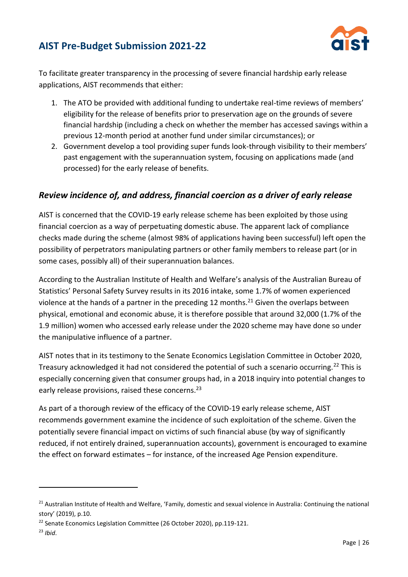

To facilitate greater transparency in the processing of severe financial hardship early release applications, AIST recommends that either:

- 1. The ATO be provided with additional funding to undertake real-time reviews of members' eligibility for the release of benefits prior to preservation age on the grounds of severe financial hardship (including a check on whether the member has accessed savings within a previous 12-month period at another fund under similar circumstances); or
- 2. Government develop a tool providing super funds look-through visibility to their members' past engagement with the superannuation system, focusing on applications made (and processed) for the early release of benefits.

#### *Review incidence of, and address, financial coercion as a driver of early release*

AIST is concerned that the COVID-19 early release scheme has been exploited by those using financial coercion as a way of perpetuating domestic abuse. The apparent lack of compliance checks made during the scheme (almost 98% of applications having been successful) left open the possibility of perpetrators manipulating partners or other family members to release part (or in some cases, possibly all) of their superannuation balances.

According to the Australian Institute of Health and Welfare's analysis of the Australian Bureau of Statistics' Personal Safety Survey results in its 2016 intake, some 1.7% of women experienced violence at the hands of a partner in the preceding 12 months.<sup>21</sup> Given the overlaps between physical, emotional and economic abuse, it is therefore possible that around 32,000 (1.7% of the 1.9 million) women who accessed early release under the 2020 scheme may have done so under the manipulative influence of a partner.

AIST notes that in its testimony to the Senate Economics Legislation Committee in October 2020, Treasury acknowledged it had not considered the potential of such a scenario occurring.<sup>22</sup> This is especially concerning given that consumer groups had, in a 2018 inquiry into potential changes to early release provisions, raised these concerns.<sup>23</sup>

As part of a thorough review of the efficacy of the COVID-19 early release scheme, AIST recommends government examine the incidence of such exploitation of the scheme. Given the potentially severe financial impact on victims of such financial abuse (by way of significantly reduced, if not entirely drained, superannuation accounts), government is encouraged to examine the effect on forward estimates – for instance, of the increased Age Pension expenditure.

 $21$  Australian Institute of Health and Welfare, 'Family, domestic and sexual violence in Australia: Continuing the national story' (2019), p.10.

<sup>&</sup>lt;sup>22</sup> Senate Economics Legislation Committee (26 October 2020), pp.119-121.

<sup>23</sup> *Ibid*.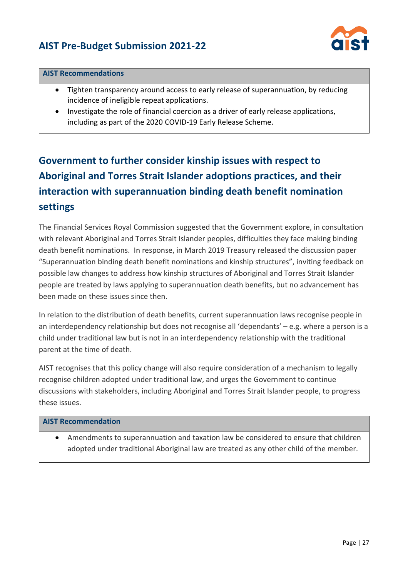

#### **AIST Recommendations**

- Tighten transparency around access to early release of superannuation, by reducing incidence of ineligible repeat applications.
- Investigate the role of financial coercion as a driver of early release applications, including as part of the 2020 COVID-19 Early Release Scheme.

# **Government to further consider kinship issues with respect to Aboriginal and Torres Strait Islander adoptions practices, and their interaction with superannuation binding death benefit nomination settings**

The Financial Services Royal Commission suggested that the Government explore, in consultation with relevant Aboriginal and Torres Strait Islander peoples, difficulties they face making binding death benefit nominations. In response, in March 2019 Treasury released the discussion paper "Superannuation binding death benefit nominations and kinship structures", inviting feedback on possible law changes to address how kinship structures of Aboriginal and Torres Strait Islander people are treated by laws applying to superannuation death benefits, but no advancement has been made on these issues since then.

In relation to the distribution of death benefits, current superannuation laws recognise people in an interdependency relationship but does not recognise all 'dependants' – e.g. where a person is a child under traditional law but is not in an interdependency relationship with the traditional parent at the time of death.

AIST recognises that this policy change will also require consideration of a mechanism to legally recognise children adopted under traditional law, and urges the Government to continue discussions with stakeholders, including Aboriginal and Torres Strait Islander people, to progress these issues.

#### **AIST Recommendation**

• Amendments to superannuation and taxation law be considered to ensure that children adopted under traditional Aboriginal law are treated as any other child of the member.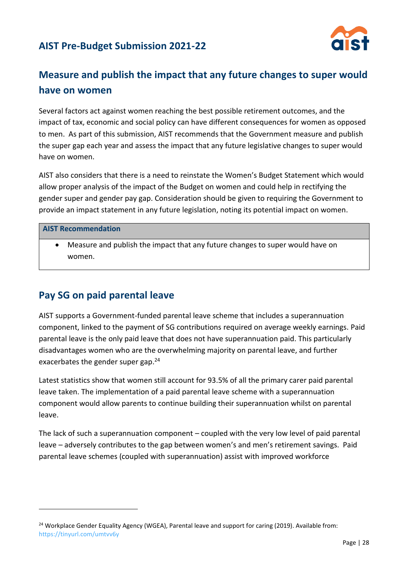

# **Measure and publish the impact that any future changes to super would have on women**

Several factors act against women reaching the best possible retirement outcomes, and the impact of tax, economic and social policy can have different consequences for women as opposed to men. As part of this submission, AIST recommends that the Government measure and publish the super gap each year and assess the impact that any future legislative changes to super would have on women.

AIST also considers that there is a need to reinstate the Women's Budget Statement which would allow proper analysis of the impact of the Budget on women and could help in rectifying the gender super and gender pay gap. Consideration should be given to requiring the Government to provide an impact statement in any future legislation, noting its potential impact on women.

#### **AIST Recommendation**

• Measure and publish the impact that any future changes to super would have on women.

### **Pay SG on paid parental leave**

AIST supports a Government-funded parental leave scheme that includes a superannuation component, linked to the payment of SG contributions required on average weekly earnings. Paid parental leave is the only paid leave that does not have superannuation paid. This particularly disadvantages women who are the overwhelming majority on parental leave, and further exacerbates the gender super gap.<sup>24</sup>

Latest statistics show that women still account for 93.5% of all the primary carer paid parental leave taken. The implementation of a paid parental leave scheme with a superannuation component would allow parents to continue building their superannuation whilst on parental leave.

The lack of such a superannuation component – coupled with the very low level of paid parental leave – adversely contributes to the gap between women's and men's retirement savings. Paid parental leave schemes (coupled with superannuation) assist with improved workforce

<sup>&</sup>lt;sup>24</sup> Workplace Gender Equality Agency (WGEA), Parental leave and support for caring (2019). Available from: <https://tinyurl.com/umtvv6y>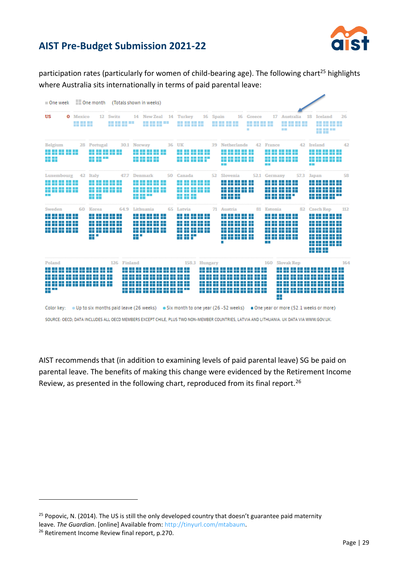

participation rates (particularly for women of child-bearing age). The following chart<sup>25</sup> highlights where Australia sits internationally in terms of paid parental leave:



SOURCE: OECD; DATA INCLUDES ALL OECD MEMBERS EXCEPT CHILE, PLUS TWO NON-MEMBER COUNTRIES, LATVIA AND LITHUANIA. UK DATA VIA WWW.GOV.UK.

AIST recommends that (in addition to examining levels of paid parental leave) SG be paid on parental leave. The benefits of making this change were evidenced by the Retirement Income Review, as presented in the following chart, reproduced from its final report.<sup>26</sup>

<sup>&</sup>lt;sup>25</sup> Popovic, N. (2014). The US is still the only developed country that doesn't guarantee paid maternity leave. *The Guardian*. [online] Available from: [http://tinyurl.com/mtabaum.](http://tinyurl.com/mtabaum)

<sup>&</sup>lt;sup>26</sup> Retirement Income Review final report, p.270.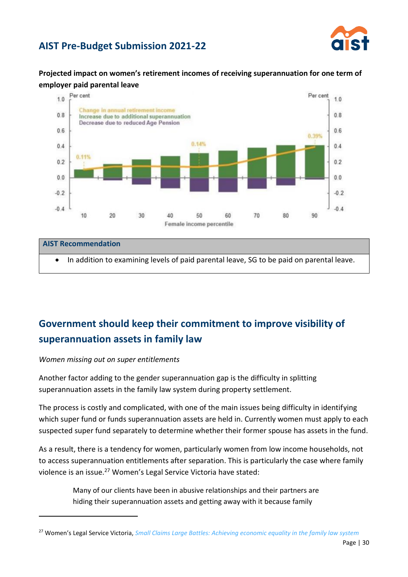

**Projected impact on women's retirement incomes of receiving superannuation for one term of employer paid parental leave**



# **AIST Recommendation** • In addition to examining levels of paid parental leave, SG to be paid on parental leave.

# **Government should keep their commitment to improve visibility of superannuation assets in family law**

#### *Women missing out on super entitlements*

Another factor adding to the gender superannuation gap is the difficulty in splitting superannuation assets in the family law system during property settlement.

The process is costly and complicated, with one of the main issues being difficulty in identifying which super fund or funds superannuation assets are held in. Currently women must apply to each suspected super fund separately to determine whether their former spouse has assets in the fund.

As a result, there is a tendency for women, particularly women from low income households, not to access superannuation entitlements after separation. This is particularly the case where family violence is an issue.<sup>27</sup> Women's Legal Service Victoria have stated:

> Many of our clients have been in abusive relationships and their partners are hiding their superannuation assets and getting away with it because family

<sup>27</sup> Women's Legal Service Victoria, *[Small Claims Large Battles: Achieving economic equality in the family law system](https://womenslegal.org.au/files/file/WLSV%20Small%20Claims%2C%20Large%20Battles%20Research%20Report%202018.pdf)*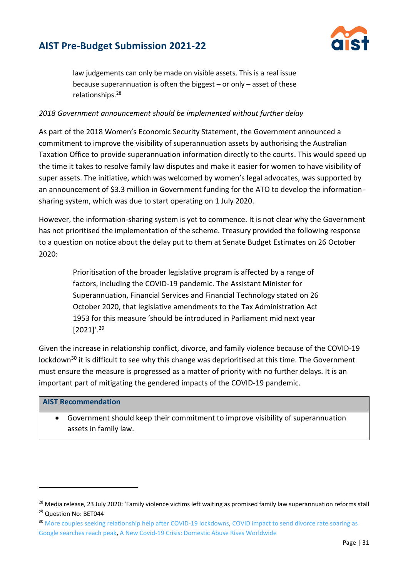

law judgements can only be made on visible assets. This is a real issue because superannuation is often the biggest – or only – asset of these relationships.<sup>28</sup>

#### *2018 Government announcement should be implemented without further delay*

As part of the 2018 Women's Economic Security Statement, the Government announced a commitment to improve the visibility of superannuation assets by authorising the Australian Taxation Office to provide superannuation information directly to the courts. This would speed up the time it takes to resolve family law disputes and make it easier for women to have visibility of super assets. The initiative, which was welcomed by women's legal advocates, was supported by an announcement of \$3.3 million in Government funding for the ATO to develop the informationsharing system, which was due to start operating on 1 July 2020.

However, the information-sharing system is yet to commence. It is not clear why the Government has not prioritised the implementation of the scheme. Treasury provided the following response to a question on notice about the delay put to them at Senate Budget Estimates on 26 October 2020:

> Prioritisation of the broader legislative program is affected by a range of factors, including the COVID-19 pandemic. The Assistant Minister for Superannuation, Financial Services and Financial Technology stated on 26 October 2020, that legislative amendments to the Tax Administration Act 1953 for this measure 'should be introduced in Parliament mid next year [2021]'.<sup>29</sup>

Given the increase in relationship conflict, divorce, and family violence because of the COVID-19 lockdown<sup>30</sup> it is difficult to see why this change was deprioritised at this time. The Government must ensure the measure is progressed as a matter of priority with no further delays. It is an important part of mitigating the gendered impacts of the COVID-19 pandemic.

#### **AIST Recommendation**

• Government should keep their commitment to improve visibility of superannuation assets in family law.

<sup>&</sup>lt;sup>28</sup> Media release, 23 July 2020: 'Family violence victims left waiting as promised family law superannuation reforms stall <sup>29</sup> Question No: BET044

<sup>&</sup>lt;sup>30</sup> [More couples seeking relationship help after COVID-19 lockdowns,](https://www.theage.com.au/national/victoria/more-couples-seeking-relationship-help-after-covid-19-lockdowns-20210115-p56uew.html) COVID impact to send divorce rate soaring as [Google searches reach peak,](https://www.theaustralian.com.au/breaking-news/covid-impact-to-send-divorce-rate-soaring-as-google-searches-reach-peak/news-story/2db1e28f24421c5b2cd1709c5cb43ab3) [A New Covid-19 Crisis: Domestic Abuse Rises Worldwide](https://www.nytimes.com/2020/04/06/world/coronavirus-domestic-violence.html)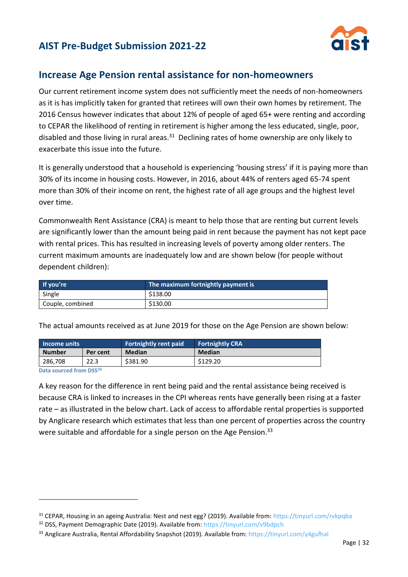

### **Increase Age Pension rental assistance for non-homeowners**

Our current retirement income system does not sufficiently meet the needs of non-homeowners as it is has implicitly taken for granted that retirees will own their own homes by retirement. The 2016 Census however indicates that about 12% of people of aged 65+ were renting and according to CEPAR the likelihood of renting in retirement is higher among the less educated, single, poor, disabled and those living in rural areas.<sup>31</sup> Declining rates of home ownership are only likely to exacerbate this issue into the future.

It is generally understood that a household is experiencing 'housing stress' if it is paying more than 30% of its income in housing costs. However, in 2016, about 44% of renters aged 65-74 spent more than 30% of their income on rent, the highest rate of all age groups and the highest level over time.

Commonwealth Rent Assistance (CRA) is meant to help those that are renting but current levels are significantly lower than the amount being paid in rent because the payment has not kept pace with rental prices. This has resulted in increasing levels of poverty among older renters. The current maximum amounts are inadequately low and are shown below (for people without dependent children):

| If you're        | The maximum fortnightly payment is |
|------------------|------------------------------------|
| Single           | \$138.00                           |
| Couple, combined | \$130.00                           |

**Income units Fortnightly rent paid Fortnightly CRA Number** Per cent Median **Median** 286,708 22.3 \$381.90 \$129.20

The actual amounts received as at June 2019 for those on the Age Pension are shown below:

**Data sourced from DSS<sup>32</sup>**

A key reason for the difference in rent being paid and the rental assistance being received is because CRA is linked to increases in the CPI whereas rents have generally been rising at a faster rate – as illustrated in the below chart. Lack of access to affordable rental properties is supported by Anglicare research which estimates that less than one percent of properties across the country were suitable and affordable for a single person on the Age Pension.<sup>33</sup>

<sup>&</sup>lt;sup>31</sup> CEPAR, Housing in an ageing Australia: Nest and nest egg? (2019). Available from[: https://tinyurl.com/rvkpqba](https://tinyurl.com/rvkpqba)

<sup>&</sup>lt;sup>32</sup> DSS, Payment Demographic Date (2019). Available from:<https://tinyurl.com/v9bdpch>

<sup>33</sup> Anglicare Australia, Rental Affordability Snapshot (2019). Available from:<https://tinyurl.com/y4gufhal>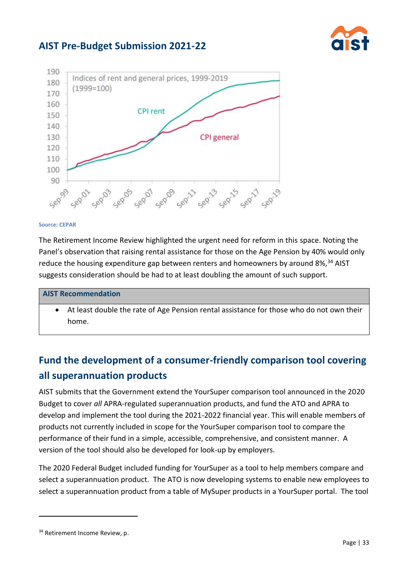



#### **Source: CEPAR**

The Retirement Income Review highlighted the urgent need for reform in this space. Noting the Panel's observation that raising rental assistance for those on the Age Pension by 40% would only reduce the housing expenditure gap between renters and homeowners by around  $8\%$ ,<sup>34</sup> AIST suggests consideration should be had to at least doubling the amount of such support.

#### **AIST Recommendation**

• At least double the rate of Age Pension rental assistance for those who do not own their home.

# **Fund the development of a consumer-friendly comparison tool covering all superannuation products**

AIST submits that the Government extend the YourSuper comparison tool announced in the 2020 Budget to cover *all* APRA-regulated superannuation products, and fund the ATO and APRA to develop and implement the tool during the 2021-2022 financial year. This will enable members of products not currently included in scope for the YourSuper comparison tool to compare the performance of their fund in a simple, accessible, comprehensive, and consistent manner. A version of the tool should also be developed for look-up by employers.

The 2020 Federal Budget included funding for YourSuper as a tool to help members compare and select a superannuation product. The ATO is now developing systems to enable new employees to select a superannuation product from a table of MySuper products in a YourSuper portal. The tool

<sup>&</sup>lt;sup>34</sup> Retirement Income Review, p.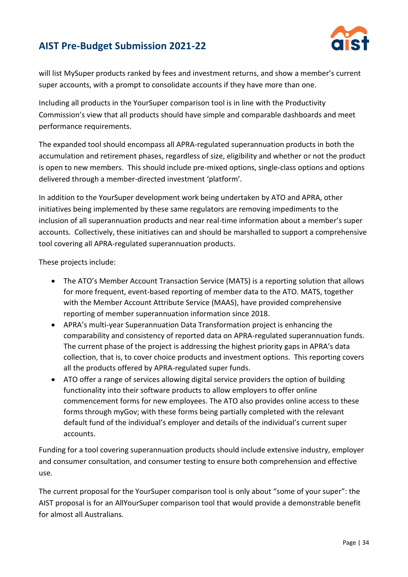

will list MySuper products ranked by fees and investment returns, and show a member's current super accounts, with a prompt to consolidate accounts if they have more than one.

Including all products in the YourSuper comparison tool is in line with the Productivity Commission's view that all products should have simple and comparable dashboards and meet performance requirements.

The expanded tool should encompass all APRA-regulated superannuation products in both the accumulation and retirement phases, regardless of size, eligibility and whether or not the product is open to new members. This should include pre-mixed options, single-class options and options delivered through a member-directed investment 'platform'.

In addition to the YourSuper development work being undertaken by ATO and APRA, other initiatives being implemented by these same regulators are removing impediments to the inclusion of all superannuation products and near real-time information about a member's super accounts. Collectively, these initiatives can and should be marshalled to support a comprehensive tool covering all APRA-regulated superannuation products.

These projects include:

- The ATO's Member Account Transaction Service (MATS) is a reporting solution that allows for more frequent, event-based reporting of member data to the ATO. MATS, together with the Member Account Attribute Service (MAAS), have provided comprehensive reporting of member superannuation information since 2018.
- APRA's multi-year Superannuation Data Transformation project is enhancing the comparability and consistency of reported data on APRA-regulated superannuation funds. The current phase of the project is addressing the highest priority gaps in APRA's data collection, that is, to cover choice products and investment options. This reporting covers all the products offered by APRA-regulated super funds.
- ATO offer a range of services allowing digital service providers the option of building functionality into their software products to allow employers to offer online commencement forms for new employees. The ATO also provides online access to these forms through myGov; with these forms being partially completed with the relevant default fund of the individual's employer and details of the individual's current super accounts.

Funding for a tool covering superannuation products should include extensive industry, employer and consumer consultation, and consumer testing to ensure both comprehension and effective use.

The current proposal for the YourSuper comparison tool is only about "some of your super": the AIST proposal is for an AllYourSuper comparison tool that would provide a demonstrable benefit for almost all Australians.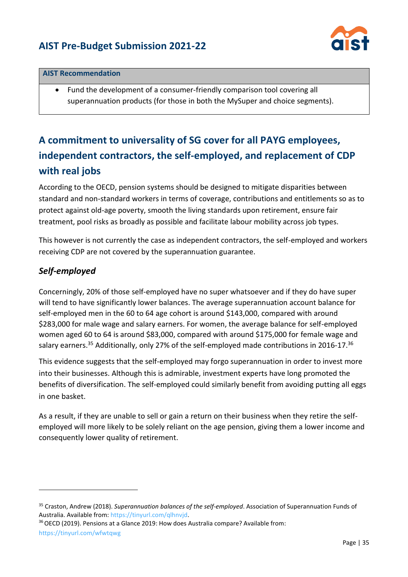

#### **AIST Recommendation**

• Fund the development of a consumer-friendly comparison tool covering all superannuation products (for those in both the MySuper and choice segments).

# **A commitment to universality of SG cover for all PAYG employees, independent contractors, the self-employed, and replacement of CDP with real jobs**

According to the OECD, pension systems should be designed to mitigate disparities between standard and non-standard workers in terms of coverage, contributions and entitlements so as to protect against old-age poverty, smooth the living standards upon retirement, ensure fair treatment, pool risks as broadly as possible and facilitate labour mobility across job types.

This however is not currently the case as independent contractors, the self-employed and workers receiving CDP are not covered by the superannuation guarantee.

### *Self-employed*

Concerningly, 20% of those self-employed have no super whatsoever and if they do have super will tend to have significantly lower balances. The average superannuation account balance for self-employed men in the 60 to 64 age cohort is around \$143,000, compared with around \$283,000 for male wage and salary earners. For women, the average balance for self-employed women aged 60 to 64 is around \$83,000, compared with around \$175,000 for female wage and salary earners.<sup>35</sup> Additionally, only 27% of the self-employed made contributions in 2016-17.<sup>36</sup>

This evidence suggests that the self-employed may forgo superannuation in order to invest more into their businesses. Although this is admirable, investment experts have long promoted the benefits of diversification. The self-employed could similarly benefit from avoiding putting all eggs in one basket.

As a result, if they are unable to sell or gain a return on their business when they retire the selfemployed will more likely to be solely reliant on the age pension, giving them a lower income and consequently lower quality of retirement.

<https://tinyurl.com/wfwtqwg>

<sup>35</sup> Craston, Andrew (2018). *Superannuation balances of the self-employed*. Association of Superannuation Funds of Australia. Available from: [https://tinyurl.com/qlhnvjd.](https://tinyurl.com/qlhnvjd)

<sup>&</sup>lt;sup>36</sup> OECD (2019). Pensions at a Glance 2019: How does Australia compare? Available from: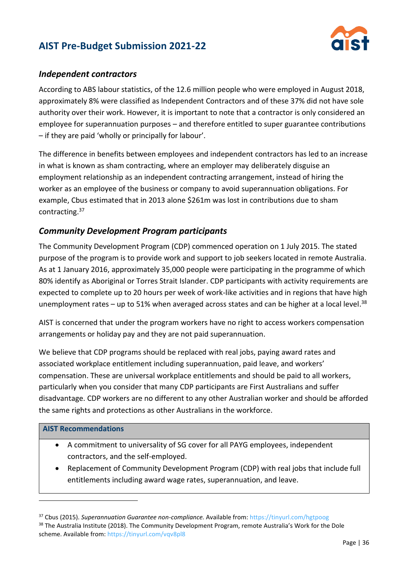

#### *Independent contractors*

According to ABS labour statistics, of the 12.6 million people who were employed in August 2018, approximately 8% were classified as Independent Contractors and of these 37% did not have sole authority over their work. However, it is important to note that a contractor is only considered an employee for superannuation purposes – and therefore entitled to super guarantee contributions – if they are paid 'wholly or principally for labour'.

The difference in benefits between employees and independent contractors has led to an increase in what is known as sham contracting, where an employer may deliberately disguise an employment relationship as an independent contracting arrangement, instead of hiring the worker as an employee of the business or company to avoid superannuation obligations. For example, Cbus estimated that in 2013 alone \$261m was lost in contributions due to sham contracting. 37

#### *Community Development Program participants*

The Community Development Program (CDP) commenced operation on 1 July 2015. The stated purpose of the program is to provide work and support to job seekers located in remote Australia. As at 1 January 2016, approximately 35,000 people were participating in the programme of which 80% identify as Aboriginal or Torres Strait Islander. CDP participants with activity requirements are expected to complete up to 20 hours per week of work-like activities and in regions that have high unemployment rates – up to 51% when averaged across states and can be higher at a local level.<sup>38</sup>

AIST is concerned that under the program workers have no right to access workers compensation arrangements or holiday pay and they are not paid superannuation.

We believe that CDP programs should be replaced with real jobs, paying award rates and associated workplace entitlement including superannuation, paid leave, and workers' compensation. These are universal workplace entitlements and should be paid to all workers, particularly when you consider that many CDP participants are First Australians and suffer disadvantage. CDP workers are no different to any other Australian worker and should be afforded the same rights and protections as other Australians in the workforce.

#### **AIST Recommendations**

- A commitment to universality of SG cover for all PAYG employees, independent contractors, and the self-employed.
- Replacement of Community Development Program (CDP) with real jobs that include full entitlements including award wage rates, superannuation, and leave.

<sup>37</sup> Cbus (2015). *Superannuation Guarantee non-compliance.* Available from:<https://tinyurl.com/hgtpoog>

<sup>&</sup>lt;sup>38</sup> The Australia Institute (2018). The Community Development Program, remote Australia's Work for the Dole scheme. Available from:<https://tinyurl.com/vqv8pl8>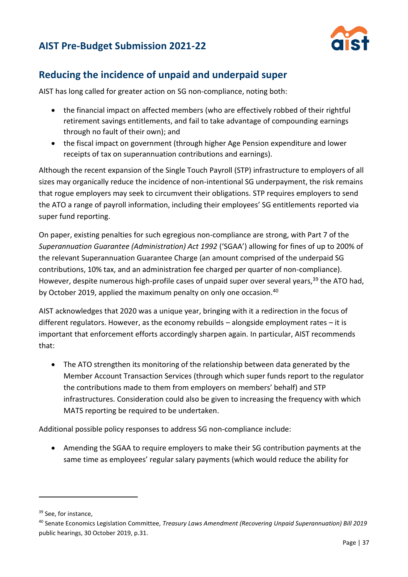

## **Reducing the incidence of unpaid and underpaid super**

AIST has long called for greater action on SG non-compliance, noting both:

- the financial impact on affected members (who are effectively robbed of their rightful retirement savings entitlements, and fail to take advantage of compounding earnings through no fault of their own); and
- the fiscal impact on government (through higher Age Pension expenditure and lower receipts of tax on superannuation contributions and earnings).

Although the recent expansion of the Single Touch Payroll (STP) infrastructure to employers of all sizes may organically reduce the incidence of non-intentional SG underpayment, the risk remains that rogue employers may seek to circumvent their obligations. STP requires employers to send the ATO a range of payroll information, including their employees' SG entitlements reported via super fund reporting.

On paper, existing penalties for such egregious non-compliance are strong, with Part 7 of the *Superannuation Guarantee (Administration) Act 1992* ('SGAA') allowing for fines of up to 200% of the relevant Superannuation Guarantee Charge (an amount comprised of the underpaid SG contributions, 10% tax, and an administration fee charged per quarter of non-compliance). However, despite numerous high-profile cases of unpaid super over several years,<sup>39</sup> the ATO had, by October 2019, applied the maximum penalty on only one occasion.<sup>40</sup>

AIST acknowledges that 2020 was a unique year, bringing with it a redirection in the focus of different regulators. However, as the economy rebuilds – alongside employment rates – it is important that enforcement efforts accordingly sharpen again. In particular, AIST recommends that:

• The ATO strengthen its monitoring of the relationship between data generated by the Member Account Transaction Services (through which super funds report to the regulator the contributions made to them from employers on members' behalf) and STP infrastructures. Consideration could also be given to increasing the frequency with which MATS reporting be required to be undertaken.

Additional possible policy responses to address SG non-compliance include:

• Amending the SGAA to require employers to make their SG contribution payments at the same time as employees' regular salary payments (which would reduce the ability for

<sup>&</sup>lt;sup>39</sup> See, for instance,

<sup>40</sup> Senate Economics Legislation Committee, *Treasury Laws Amendment (Recovering Unpaid Superannuation) Bill 2019* public hearings, 30 October 2019, p.31.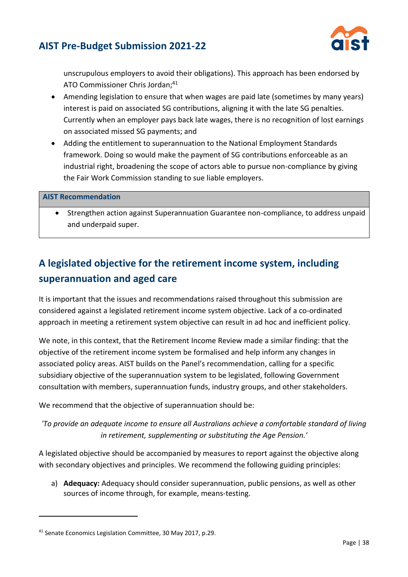

unscrupulous employers to avoid their obligations). This approach has been endorsed by ATO Commissioner Chris Jordan; 41

- Amending legislation to ensure that when wages are paid late (sometimes by many years) interest is paid on associated SG contributions, aligning it with the late SG penalties. Currently when an employer pays back late wages, there is no recognition of lost earnings on associated missed SG payments; and
- Adding the entitlement to superannuation to the National Employment Standards framework. Doing so would make the payment of SG contributions enforceable as an industrial right, broadening the scope of actors able to pursue non-compliance by giving the Fair Work Commission standing to sue liable employers.

#### **AIST Recommendation**

• Strengthen action against Superannuation Guarantee non-compliance, to address unpaid and underpaid super.

# **A legislated objective for the retirement income system, including superannuation and aged care**

It is important that the issues and recommendations raised throughout this submission are considered against a legislated retirement income system objective. Lack of a co-ordinated approach in meeting a retirement system objective can result in ad hoc and inefficient policy.

We note, in this context, that the Retirement Income Review made a similar finding: that the objective of the retirement income system be formalised and help inform any changes in associated policy areas. AIST builds on the Panel's recommendation, calling for a specific subsidiary objective of the superannuation system to be legislated, following Government consultation with members, superannuation funds, industry groups, and other stakeholders.

We recommend that the objective of superannuation should be:

*'To provide an adequate income to ensure all Australians achieve a comfortable standard of living in retirement, supplementing or substituting the Age Pension.'*

A legislated objective should be accompanied by measures to report against the objective along with secondary objectives and principles. We recommend the following guiding principles:

a) **Adequacy:** Adequacy should consider superannuation, public pensions, as well as other sources of income through, for example, means-testing.

<sup>&</sup>lt;sup>41</sup> Senate Economics Legislation Committee, 30 May 2017, p.29.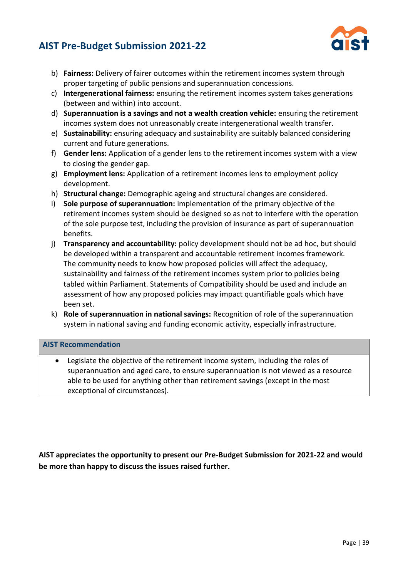

- b) **Fairness:** Delivery of fairer outcomes within the retirement incomes system through proper targeting of public pensions and superannuation concessions.
- c) **Intergenerational fairness:** ensuring the retirement incomes system takes generations (between and within) into account.
- d) **Superannuation is a savings and not a wealth creation vehicle:** ensuring the retirement incomes system does not unreasonably create intergenerational wealth transfer.
- e) **Sustainability:** ensuring adequacy and sustainability are suitably balanced considering current and future generations.
- f) **Gender lens:** Application of a gender lens to the retirement incomes system with a view to closing the gender gap.
- g) **Employment lens:** Application of a retirement incomes lens to employment policy development.
- h) **Structural change:** Demographic ageing and structural changes are considered.
- i) **Sole purpose of superannuation:** implementation of the primary objective of the retirement incomes system should be designed so as not to interfere with the operation of the sole purpose test, including the provision of insurance as part of superannuation benefits.
- j) **Transparency and accountability:** policy development should not be ad hoc, but should be developed within a transparent and accountable retirement incomes framework. The community needs to know how proposed policies will affect the adequacy, sustainability and fairness of the retirement incomes system prior to policies being tabled within Parliament. Statements of Compatibility should be used and include an assessment of how any proposed policies may impact quantifiable goals which have been set.
- k) **Role of superannuation in national savings:** Recognition of role of the superannuation system in national saving and funding economic activity, especially infrastructure.

#### **AIST Recommendation**

Legislate the objective of the retirement income system, including the roles of superannuation and aged care, to ensure superannuation is not viewed as a resource able to be used for anything other than retirement savings (except in the most exceptional of circumstances).

**AIST appreciates the opportunity to present our Pre-Budget Submission for 2021-22 and would be more than happy to discuss the issues raised further.**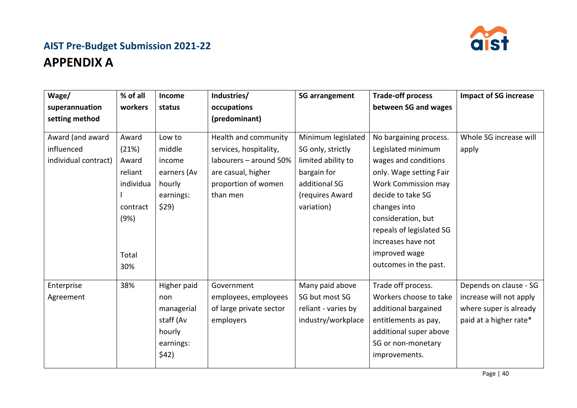

# **AIST Pre-Budget Submission 2021-22 APPENDIX A**

| Wage/                                                  | % of all                                                                     | Income                                                                        | Industries/                                                                                                                       | <b>SG arrangement</b>                                                                                                          | <b>Trade-off process</b>                                                                                                                                                                                                                                                             | <b>Impact of SG increase</b>                                                                          |
|--------------------------------------------------------|------------------------------------------------------------------------------|-------------------------------------------------------------------------------|-----------------------------------------------------------------------------------------------------------------------------------|--------------------------------------------------------------------------------------------------------------------------------|--------------------------------------------------------------------------------------------------------------------------------------------------------------------------------------------------------------------------------------------------------------------------------------|-------------------------------------------------------------------------------------------------------|
| superannuation                                         | workers                                                                      | status                                                                        | occupations                                                                                                                       |                                                                                                                                | between SG and wages                                                                                                                                                                                                                                                                 |                                                                                                       |
| setting method                                         |                                                                              |                                                                               | (predominant)                                                                                                                     |                                                                                                                                |                                                                                                                                                                                                                                                                                      |                                                                                                       |
| Award (and award<br>influenced<br>individual contract) | Award<br>(21%)<br>Award<br>reliant<br>individua<br>contract<br>(9%)<br>Total | Low to<br>middle<br>income<br>earners (Av<br>hourly<br>earnings:<br>\$29)     | Health and community<br>services, hospitality,<br>labourers - around 50%<br>are casual, higher<br>proportion of women<br>than men | Minimum legislated<br>SG only, strictly<br>limited ability to<br>bargain for<br>additional SG<br>(requires Award<br>variation) | No bargaining process.<br>Legislated minimum<br>wages and conditions<br>only. Wage setting Fair<br><b>Work Commission may</b><br>decide to take SG<br>changes into<br>consideration, but<br>repeals of legislated SG<br>increases have not<br>improved wage<br>outcomes in the past. | Whole SG increase will<br>apply                                                                       |
|                                                        | 30%                                                                          |                                                                               |                                                                                                                                   |                                                                                                                                |                                                                                                                                                                                                                                                                                      |                                                                                                       |
| Enterprise<br>Agreement                                | 38%                                                                          | Higher paid<br>non<br>managerial<br>staff (Av<br>hourly<br>earnings:<br>\$42) | Government<br>employees, employees<br>of large private sector<br>employers                                                        | Many paid above<br>SG but most SG<br>reliant - varies by<br>industry/workplace                                                 | Trade off process.<br>Workers choose to take<br>additional bargained<br>entitlements as pay,<br>additional super above<br>SG or non-monetary<br>improvements.                                                                                                                        | Depends on clause - SG<br>increase will not apply<br>where super is already<br>paid at a higher rate* |